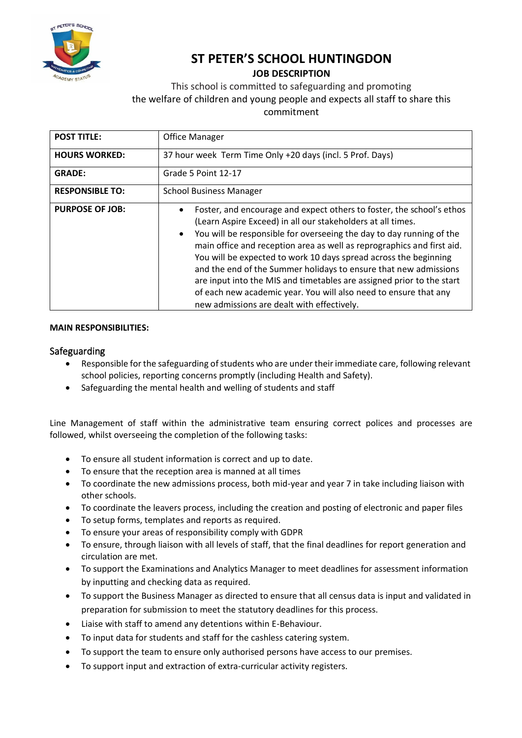

## **ST PETER'S SCHOOL HUNTINGDON**

## **JOB DESCRIPTION**

This school is committed to safeguarding and promoting the welfare of children and young people and expects all staff to share this commitment

| <b>POST TITLE:</b>     | <b>Office Manager</b>                                                                                                                                                                                                                                                                                                                                                                                                                                                                                                                                                                                                     |
|------------------------|---------------------------------------------------------------------------------------------------------------------------------------------------------------------------------------------------------------------------------------------------------------------------------------------------------------------------------------------------------------------------------------------------------------------------------------------------------------------------------------------------------------------------------------------------------------------------------------------------------------------------|
| <b>HOURS WORKED:</b>   | 37 hour week Term Time Only +20 days (incl. 5 Prof. Days)                                                                                                                                                                                                                                                                                                                                                                                                                                                                                                                                                                 |
| <b>GRADE:</b>          | Grade 5 Point 12-17                                                                                                                                                                                                                                                                                                                                                                                                                                                                                                                                                                                                       |
| <b>RESPONSIBLE TO:</b> | <b>School Business Manager</b>                                                                                                                                                                                                                                                                                                                                                                                                                                                                                                                                                                                            |
| <b>PURPOSE OF JOB:</b> | Foster, and encourage and expect others to foster, the school's ethos<br>(Learn Aspire Exceed) in all our stakeholders at all times.<br>You will be responsible for overseeing the day to day running of the<br>main office and reception area as well as reprographics and first aid.<br>You will be expected to work 10 days spread across the beginning<br>and the end of the Summer holidays to ensure that new admissions<br>are input into the MIS and timetables are assigned prior to the start<br>of each new academic year. You will also need to ensure that any<br>new admissions are dealt with effectively. |

## **MAIN RESPONSIBILITIES:**

## Safeguarding

- Responsible for the safeguarding of students who are under their immediate care, following relevant school policies, reporting concerns promptly (including Health and Safety).
- Safeguarding the mental health and welling of students and staff

Line Management of staff within the administrative team ensuring correct polices and processes are followed, whilst overseeing the completion of the following tasks:

- To ensure all student information is correct and up to date.
- To ensure that the reception area is manned at all times
- To coordinate the new admissions process, both mid-year and year 7 in take including liaison with other schools.
- To coordinate the leavers process, including the creation and posting of electronic and paper files
- To setup forms, templates and reports as required.
- To ensure your areas of responsibility comply with GDPR
- To ensure, through liaison with all levels of staff, that the final deadlines for report generation and circulation are met.
- To support the Examinations and Analytics Manager to meet deadlines for assessment information by inputting and checking data as required.
- To support the Business Manager as directed to ensure that all census data is input and validated in preparation for submission to meet the statutory deadlines for this process.
- Liaise with staff to amend any detentions within E-Behaviour.
- To input data for students and staff for the cashless catering system.
- To support the team to ensure only authorised persons have access to our premises.
- To support input and extraction of extra-curricular activity registers.